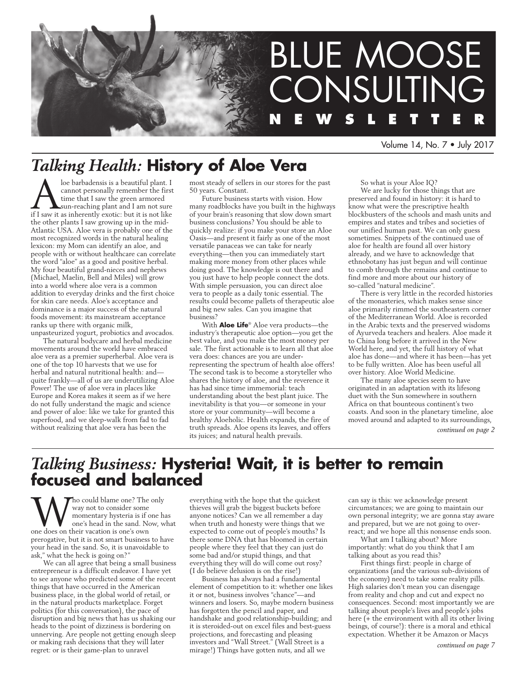

Volume 14, No. 7 • July 2017

# *Talking Health:* **History of Aloe Vera**

loe barbadensis is a beautiful plant. I<br>cannot personally remember the first<br>time that I saw the green armored<br>if I saw it as inherently exotic: but it is not like cannot personally remember the first time that I saw the green armored sun-reaching plant and I am not sure if I saw it as inherently exotic: but it is not like the other plants I saw growing up in the mid-Atlantic USA. Aloe vera is probably one of the most recognized words in the natural healing lexicon: my Mom can identify an aloe, and people with or without healthcare can correlate the word "aloe" as a good and positive herbal. My four beautiful grand-nieces and nephews (Michael, Maelin, Bell and Miles) will grow into a world where aloe vera is a common addition to everyday drinks and the first choice for skin care needs. Aloe's acceptance and dominance is a major success of the natural foods movement: its mainstream acceptance ranks up there with organic milk, unpasteurized yogurt, probiotics and avocados.

The natural bodycare and herbal medicine movements around the world have embraced aloe vera as a premier superherbal. Aloe vera is one of the top 10 harvests that we use for herbal and natural nutritional health: and quite frankly—all of us are underutilizing Aloe Power! The use of aloe vera in places like Europe and Korea makes it seem as if we here do not fully understand the magic and science and power of aloe: like we take for granted this superfood, and we sleep-walk from fad to fad without realizing that aloe vera has been the

most steady of sellers in our stores for the past 50 years. Constant.

Future business starts with vision. How many roadblocks have you built in the highways of your brain's reasoning that slow down smart business conclusions? You should be able to quickly realize: if you make your store an Aloe Oasis—and present it fairly as one of the most versatile panaceas we can take for nearly everything—then you can immediately start making more money from other places while doing good. The knowledge is out there and you just have to help people connect the dots. With simple persuasion, you can direct aloe vera to people as a daily tonic essential. The results could become pallets of therapeutic aloe and big new sales. Can you imagine that business?

With **Aloe Life**® Aloe vera products—the industry's therapeutic aloe option—you get the best value, and you make the most money per sale. The first actionable is to learn all that aloe vera does: chances are you are underrepresenting the spectrum of health aloe offers! The second task is to become a storyteller who shares the history of aloe, and the reverence it has had since time immemorial: teach understanding about the best plant juice. The inevitability is that you—or someone in your store or your community—will become a healthy Aloeholic. Health expands, the fire of truth spreads. Aloe opens its leaves, and offers its juices; and natural health prevails.

So what is your Aloe IQ?

We are lucky for those things that are preserved and found in history: it is hard to know what were the prescriptive health blockbusters of the schools and mash units and empires and states and tribes and societies of our unified human past. We can only guess sometimes. Snippets of the continued use of aloe for health are found all over history already, and we have to acknowledge that ethnobotany has just begun and will continue to comb through the remains and continue to find more and more about our history of so-called "natural medicine".

There is very little in the recorded histories of the monasteries, which makes sense since aloe primarily rimmed the southeastern corner of the Mediterranean World. Aloe is recorded in the Arabic texts and the preserved wisdoms of Ayurveda teachers and healers. Aloe made it to China long before it arrived in the New World here, and yet, the full history of what aloe has done—and where it has been—has yet to be fully written. Aloe has been useful all over history. Aloe World Medicine.

The many aloe species seem to have originated in an adaptation with its lifesong duet with the Sun somewhere in southern Africa on that bounteous continent's two coasts. And soon in the planetary timeline, aloe moved around and adapted to its surroundings,

*continued on page 2*

# *Talking Business:* **Hysteria! Wait, it is better to remain focused and balanced**

Who could blame one? The only way not to consider some momentary hysteria is if one had one's head in the sand. Now, where does on their vacation is one's own way not to consider some momentary hysteria is if one has one's head in the sand. Now, what prerogative, but it is not smart business to have your head in the sand. So, it is unavoidable to ask," what the heck is going on?"

We can all agree that being a small business entrepreneur is a difficult endeavor. I have yet to see anyone who predicted some of the recent things that have occurred in the American business place, in the global world of retail, or in the natural products marketplace. Forget politics (for this conversation), the pace of disruption and big news that has us shaking our heads to the point of dizziness is bordering on unnerving. Are people not getting enough sleep or making rash decisions that they will later regret: or is their game-plan to unravel

everything with the hope that the quickest thieves will grab the biggest buckets before anyone notices? Can we all remember a day when truth and honesty were things that we expected to come out of people's mouths? Is there some DNA that has bloomed in certain people where they feel that they can just do some bad and/or stupid things, and that everything they will do will come out rosy? (I do believe delusion is on the rise!)

Business has always had a fundamental element of competition to it: whether one likes it or not, business involves "chance"—and winners and losers. So, maybe modern business has forgotten the pencil and paper, and handshake and good relationship-building; and it is steroided-out on excel files and best-guess projections, and forecasting and pleasing investors and "Wall Street." (Wall Street is a mirage!) Things have gotten nuts, and all we

can say is this: we acknowledge present circumstances; we are going to maintain our own personal integrity; we are gonna stay aware and prepared, but we are not going to overreact; and we hope all this nonsense ends soon.

What am I talking about? More importantly: what do you think that I am talking about as you read this?

First things first: people in charge of organizations (and the various sub-divisions of the economy) need to take some reality pills. High salaries don't mean you can disengage from reality and chop and cut and expect no consequences. Second: most importantly we are talking about people's lives and people's jobs here (+ the environment with all its other living beings, of course!): there is a moral and ethical expectation. Whether it be Amazon or Macys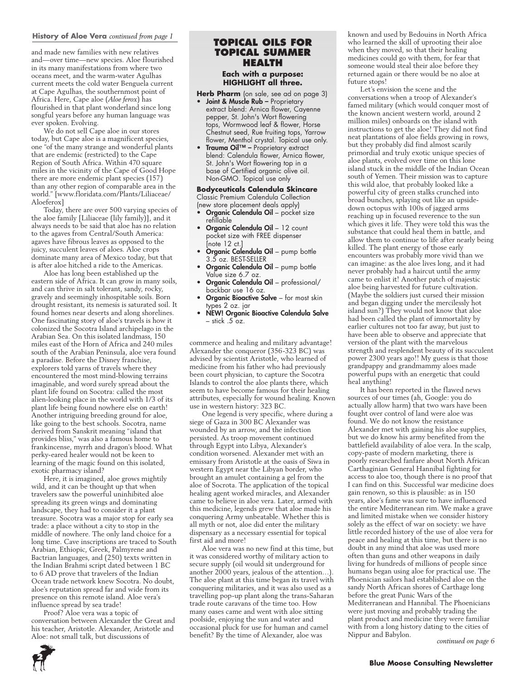## **History of Aloe Vera** *continued from page 1*

and made new families with new relatives and—over time—new species. Aloe flourished in its many manifestations from where two oceans meet, and the warm-water Agulhas current meets the cold water Benguela current at Cape Agulhas, the southernmost point of Africa. Here, Cape aloe (*Aloe ferox*) has flourished in that plant wonderland since long songful years before any human language was ever spoken. Evolving.

We do not sell Cape aloe in our stores today, but Cape aloe is a magnificent species, one "of the many strange and wonderful plants that are endemic (restricted) to the Cape Region of South Africa. Within 470 square miles in the vicinity of the Cape of Good Hope there are more endemic plant species (157) than any other region of comparable area in the world." [www.floridata.com/Plants/Liliaceae/ Aloeferox]

Today, there are over 500 varying species of the aloe family [Liliaceae (lily family)], and it always needs to be said that aloe has no relation to the agaves from Central/South America: agaves have fibrous leaves as opposed to the juicy, succulent leaves of aloes. Aloe crops dominate many area of Mexico today, but that is after aloe hitched a ride to the Americas.

Aloe has long been established up the eastern side of Africa. It can grow in many soils, and can thrive in salt tolerant, sandy, rocky, gravely and seemingly inhospitable soils. Born drought resistant, its nemesis is saturated soil. It found homes near deserts and along shorelines. One fascinating story of aloe's travels is how it colonized the Socotra Island archipelago in the Arabian Sea. On this isolated landmass, 150 miles east of the Horn of Africa and 240 miles south of the Arabian Peninsula, aloe vera found a paradise. Before the Disney franchise, explorers told yarns of travels where they encountered the most mind-blowing terrains imaginable, and word surely spread about the plant life found on Socotra: called the most alien-looking place in the world with 1/3 of its plant life being found nowhere else on earth! Another intriguing breeding ground for aloe, like going to the best schools. Socotra, name derived from Sanskrit meaning "island that provides bliss," was also a famous home to frankincense, myrrh and dragon's blood. What perky-eared healer would not be keen to learning of the magic found on this isolated, exotic pharmacy island?

Here, it is imagined, aloe grows mightily wild, and it can be thought up that when travelers saw the powerful uninhibited aloe spreading its green wings and dominating landscape, they had to consider it a plant treasure. Socotra was a major stop for early sea trade: a place without a city to stop in the middle of nowhere. The only land choice for a long time. Cave inscriptions are traced to South Arabian, Ethiopic, Greek, Palmyrene and Bactrian languages, and (250) texts written in the Indian Brahmi script dated between 1 BC to 6 AD prove that travelers of the Indian Ocean trade network knew Socotra. No doubt, aloe's reputation spread far and wide from its presence on this remote island. Aloe vera's influence spread by sea trade!

Proof? Aloe vera was a topic of conversation between Alexander the Great and his teacher, Aristotle. Alexander, Aristotle and Aloe: not small talk, but discussions of

# **TOPICAL OILS for topical summer health**

**Each with a purpose: HIGHLIGHT all three.** 

- **Herb Pharm** (on sale, see ad on page 3)
- Joint & Muscle Rub Proprietary extract blend: Arnica flower, Cayenne pepper, St. John's Wort flowering tops, Wormwood leaf & flower, Horse Chestnut seed, Rue fruiting tops, Yarrow flower, Menthol crystal. Topical use only.
- Trauma Oil™ Proprietary extract blend: Calendula flower, Arnica flower, St. John's Wort flowering top in a base of Certified organic olive oil. Non-GMO. Topical use only

**Bodyceuticals Calendula Skincare** Classic Premium Calendula Collection

- (new store placement deals apply) • Organic Calendula Oil – pocket size
- refillable • Organic Calendula Oil – 12 count pocket size with FREE dispenser
- [note 12 ct.] • Organic Calendula Oil – pump bottle 3.5 oz. BEST-SELLER
- Organic Calendula Oil pump bottle Value size 6.7 oz.
- Organic Calendula Oil professional/ backbar use 16 oz.
- Organic Bioactive Salve for most skin types 2 oz. jar
- NEW! Organic Bioactive Calendula Salve – stick .5 oz.

commerce and healing and military advantage! Alexander the conqueror (356-323 BC) was advised by scientist Aristotle, who learned of medicine from his father who had previously been court physician, to capture the Socotra Islands to control the aloe plants there, which seem to have become famous for their healing attributes, especially for wound healing. Known use in western history: 323 BC.

One legend is very specific, where during a siege of Gaza in 300 BC Alexander was wounded by an arrow, and the infection persisted. As troop movement continued through Egypt into Libya, Alexander's condition worsened. Alexander met with an emissary from Aristotle at the oasis of Siwa in western Egypt near the Libyan border, who brought an amulet containing a gel from the aloe of Socrota. The application of the topical healing agent worked miracles, and Alexander came to believe in aloe vera. Later, armed with this medicine, legends grew that aloe made his conquering Army unbeatable. Whether this is all myth or not, aloe did enter the military dispensary as a necessary essential for topical first aid and more!

Aloe vera was no new find at this time, but it was considered worthy of military action to secure supply (oil would sit underground for another 2000 years, jealous of the attention…). The aloe plant at this time began its travel with conquering militaries, and it was also used as a travelling pop-up plant along the trans-Saharan trade route caravans of the time too. How many oases came and went with aloe sitting poolside, enjoying the sun and water and occasional pluck for use for human and camel benefit? By the time of Alexander, aloe was

known and used by Bedouins in North Africa who learned the skill of uprooting their aloe when they moved, so that their healing medicines could go with them, for fear that someone would steal their aloe before they returned again or there would be no aloe at future stops!

Let's envision the scene and the conversations when a troop of Alexander's famed military (which would conquer most of the known ancient western world, around 2 million miles) onboards on the island with instructions to get the aloe! They did not find neat plantations of aloe fields growing in rows, but they probably did find almost scarily primordial and truly exotic unique species of aloe plants, evolved over time on this lone island stuck in the middle of the Indian Ocean south of Yemen. Their mission was to capture this wild aloe, that probably looked like a powerful city of green stalks crunched into broad bunches, splaying out like an upsidedown octopus with 100s of jagged arms reaching up in focused reverence to the sun which gives it life. They were told this was the substance that could heal them in battle, and allow them to continue to life after nearly being killed. The plant energy of those early encounters was probably more vivid than we can imagine: as the aloe lives long, and it had never probably had a haircut until the army came to enlist it! Another patch of majestic aloe being harvested for future cultivation. (Maybe the soldiers just cursed their mission and began digging under the mercilessly hot island sun?) They would not know that aloe had been called the plant of immortality by earlier cultures not too far away, but just to have been able to observe and appreciate that version of the plant with the marvelous strength and resplendent beauty of its succulent power 2300 years ago!! My guess is that those grandpappy and grandmammy aloes made powerful pups with an energetic that could heal anything!

It has been reported in the flawed news sources of our times (ah, Google: you do actually allow harm) that two wars have been fought over control of land were aloe was found. We do not know the resistance Alexander met with gaining his aloe supplies, but we do know his army benefited from the battlefield availability of aloe vera. In the scalp, copy-paste of modern marketing, there is poorly researched fanfare about North African Carthaginian General Hannibal fighting for access to aloe too, though there is no proof that I can find on this. Successful war medicine does gain renown, so this is plausible: as in 150 years, aloe's fame was sure to have influenced the entire Mediterranean rim. We make a grave and limited mistake when we consider history solely as the effect of war on society: we have little recorded history of the use of aloe vera for peace and healing at this time, but there is no doubt in any mind that aloe was used more often than guns and other weapons in daily living for hundreds of millions of people since humans began using aloe for practical use. The Phoenician sailors had established aloe on the sandy North African shores of Carthage long before the great Punic Wars of the Mediterranean and Hannibal. The Phoenicians were just moving and probably trading the plant product and medicine they were familiar with from a long history dating to the cities of Nippur and Babylon.

*continued on page 6*

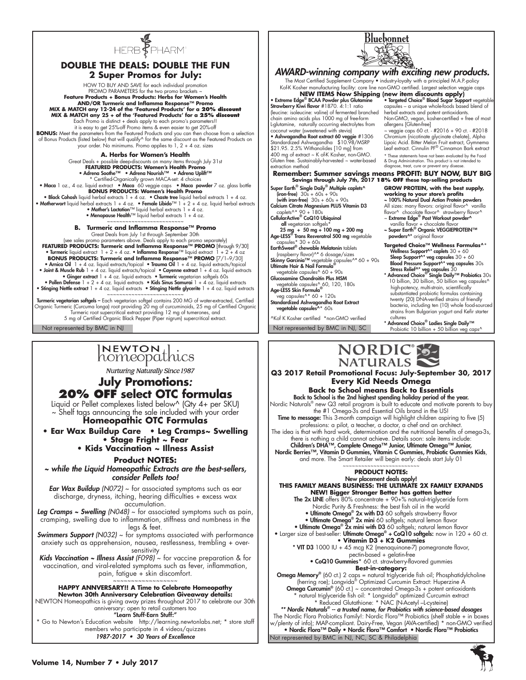

# **DOUBLE THE DEALS: DOUBLE THE FUN 2 Super Promos for July:**

HOW TO BUY AND SAVE for each individual promotion PROMO PARAMETERS for the two promo brackets ~ **Feature Products + Bonus Products: Herbs for Women's Health AND/OR Turmeric and Inflamma Response™ Promo MIX & MATCH any 12-24 of the 'Featured Products' for a 20% discount MIX & MATCH any 25 + of the 'Featured Products' for a 25% discount** Each Promo is distinct + deals apply to each promo's parameters!! it is easy to get 25%-off Promo items & even easier to get 20%-off

**BONUS:** Meet the parameters from the Featured Products and you can then choose from a selection<br>of Bonus Products (listed below) that will qualify^ for the same discount as the Featured Products on your order. No minimums. Promo applies to 1, 2 + 4 oz. sizes

**A. Herbs for Women's Health** 

Great Deals + possible deep-discounts on many items through July 31st **FEATURED PRODUCTS: Women's Health Promo** • Adrena Soothe™ • Adrena Nourish™ • Adrena Uplift™ \* Certified-Organically grown MACA-set: 4 choices • Maca 1 oz., 4 oz. liquid extract • Maca 60 veggie caps • Maca powder 7 oz. glass bottle **BONUS PRODUCTS: Women's Health Promo** • Black Cohosh liquid herbal extracts  $1 + 4$  oz. • Chaste tree liquid herbal extracts  $1 + 4$  oz.<br>• Motherwort liquid herbal extracts  $1 + 4$  oz. e Female Libido<sup>TM</sup> 1 + 2 + 4 oz. liquid herbal extracts • Mother's Lactation

• Menopause Health™ liquid herbal extracts 1 + 4 oz. ~~~~~~~~~~~~~~~~~~~~~~~

**B. Turmeric and Inflamma Response™ Promo** 

Great Deals from July 1st through September 30th (see sales promo parameters above. Deals apply to each promo separately) **FEATURED PRODUCTS: Turmeric and Inflamma Response™ PROMO** [through 9/30]<br>• Turmeric liquid extract 1 + 2 + 4 oz. • Inflamma Response™ liquid extract 1 + 2 + 4 oz **BONUS PRODUCTS: Turmeric and Inflamma Response™ PROMO** [7/1–9/30] Arnica Oil 1 + 4 oz. liquid extracts/topical • Trauma Oil 1 + 4 oz. liquid extracts/topical • المعالمة Arnica O<br>• Joint & Muscle Rub 1 + 4 oz. liquid extracts/topical • Comenne extracts<br>• Ginger extract 1 + 4 oz. liquid • Pollen Defense 1 + 2 + 4 oz. liquid extracts • Kids Sinus Samurai 1 + 4 oz. liquid extracts • Stinging Nettle extract 1 + 4 oz. liquid extracts • Stinging Nettle glycerite 1 + 4 oz. liquid extracts

**Turmeric vegetarian softgels – E**ntertainment and the analysis – and the series of MG of water-extracted, Certified Organic Turmeric (Curcuma longa) root providing 20 mg of curcuminoids, 25 mg of Certified Organic Turmeri 5 mg of Certified Organic Black Pepper (Piper nigrum) supercritical extract.

# INEWTON thics

Nurturing Naturally Since 1987

# **July Promotions***:*  **20% OFF select OTC formulas**

Liquid or Pellet complexes listed below^ (Qty 4+ per SKU) ~ Shelf tags announcing the sale included with your order

**Homeopathic OTC Formulas**

**• Ear Wax Buildup Care • Leg Cramps~ Swelling • Stage Fright ~ Fear** 

**• Kids Vaccination ~ Illness Assist** 

# **Product NOTES:**

*~ while the Liquid Homeopathic Extracts are the best-sellers, consider Pellets too!*

*Ear Wax Buildup (N072)* ~ for associated symptoms such as ear discharge, dryness, itching, hearing difficulties + excess wax accumulation.

*Leg Cramps ~ Swelling (N048)* ~ for associated symptoms such as pain, cramping, swelling due to inflammation, stiffness and numbness in the legs & feet.

*Swimmers Support (N032)* ~ for symptoms associated with performance anxiety such as apprehension, nausea, restlessness, trembling + oversensitivity

*Kids Vaccination ~ Illness Assist (F098)* ~ for vaccine preparation & for vaccination, and viral-related symptoms such as fever, inflammation, pain, fatigue + skin discomfort.

# ~~~~~~~~~~~~~~~~~~ **HAPPY ANNVERSARY!! A Time to Celebrate Homeopathy Newton 30th Anniversary Celebration Giveaway details:**

NEWTON Homeopathics is giving away prizes throughout 2017 to celebrate our 30th anniversary: open to retail customers too

"Learn Stuff-Earn Stuff:" \* Go to Newton's Education website http://learning.newtonlabs.net; \* store staff members who participate in 4 videos/quizzes 1987-2017 • 30 Years of Excellence



Bluebonnet



**Q3 2017 Retail Promotional Focus: July-September 30, 2017 Every Kid Needs Omega**

**Back to School means Back to Essentials Back to School is the 2nd highest spending holiday period of the year.**<br>Nordic Naturals® new Q3 retail program is built to educate and motivate parents to buy the #1 Omega-3s and Essential Oils brand in the US! **Time to message:** This 3-month campaign will highlight children aspiring to five (5) professions: a pilot, a teacher, a doctor, a chef and an architect. The idea is that with hard work, determination and the nutritional benefits of omega-3s, there is nothing a child cannot achieve. Details soon: sale items include:<br>**Children's DHA™, Complete Omega™ Junior, Ultimate Omega™ Junior,** Nordic Berries™, Vitamin D Gummies, Vitamin C Gummies, Probiotic Gummies Kids, and more. The Smart Retailer will begin early: deals start July 01 ~~~~~~~~~~~~~~~~~~~~~

#### **PRODUCT NOTES:**  New placement deals apply!

**THIS FAMILY MEANS BUSINESS: THE ULTIMATE 2X FAMILY EXPANDS NEW! Bigger Stronger Better has gotten better**

The 2x LINE offers 80% concentrate + 90+% natural-triglyceride form

- Nordic Purity & Freshness: the best fish oil in the world • Ultimate Omega<sup>®</sup> 2x with D3 60 softgels strawberry flavor
- Ultimate Omega® 2x mini 60 softgels; natural lemon flavor
- Ultimate Omega® 2x mini with D3 60 softgels; natural lemon flavor

• Larger size of best-seller: Ultimate Omega® + CoQ10 softgels: now in 120 + 60 ct. **• Vitamin D3 + K2 Gummies** 

\* VIT D3 1000 IU + 45 mcg K2 (menaquinone-7) pomegranate flavor, pectin-based + gelatin-free

• CoQ10 Gummies\* 60 ct. strawberry-flavored gummies **Best-in-category:**

**Omega Memory®** (60 ct.) 2 caps = natural triglyceride fish oil; Phosphatidylcholine (herring roe); Longvida® Optimized Curcumin Extract: Huperzine A Omega Curcumin<sup>®</sup> (60 ct.) ~ concentrated Omega-3s + potent antioxidants \* natural triglyceride fish oil: \* Longvida® optimized Curcumin extract \* Reduced Glutathione: \* NAC (N-Acetyl –L-cysteine) *\*\* Nordic Naturals®* -- a trusted name, for Probiotics with science-based dosages

Not represented by BMC in NJ, NC, SC & Philadelphia The Nordic Flora Probiotics Family!: Nordic Flora™ Probiotics (shelf stable + in boxes w/plenty of info); MAP-compliant. Dairy-Free, Vegan (AVA-certified) \* non-GMO verified<br>• **Nordic Flora™ Daily • Nordic Flora™ Comfort • Nordic Flora™ Probiotics**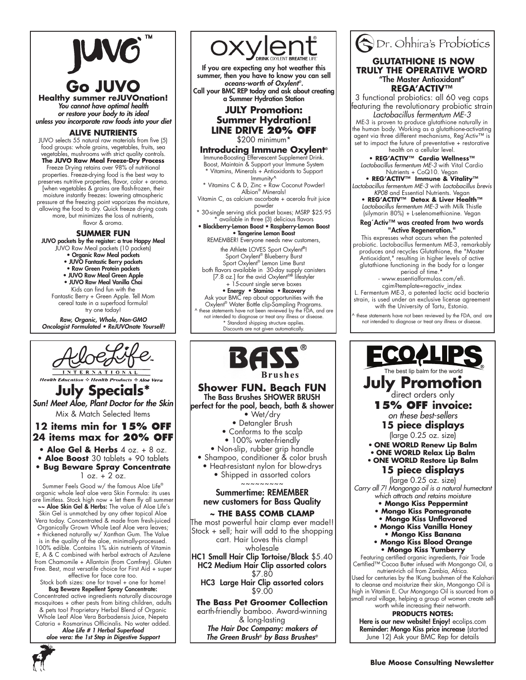# **Go JUVO**

**Healthy summer reJUVOnation!**  You cannot have optimal health *or restore your body to its ideal* unless you incorporate raw foods into your diet

**ALIVE NUTRIENTS**

JUVO selects 55 natural raw materials from five (5) food groups: whole grains, vegetables, fruits, sea vegetables, mushrooms with strict quality controls. **The JUVO Raw Meal Freeze-Dry Process** Freeze Drying retains over 98% of nutritional properties. Freeze-drying food is the best way to preserves nutritive properties, flavor, color + aroma. [when vegetables & grains are flash-frozen, their moisture instantly freezes: lowering atmospheric pressure at the freezing point vaporizes the moisture, allowing the food to dry. Quick freeze drying costs more, but minimizes the loss of nutrients, flavor & aroma.

# **SUMMER FUN**

JUVO packets by the register: a true Happy Meal JUVO Raw Meal packets (10 packets) • Organic Raw Meal packets • JUVO Fantastic Berry packets • Raw Green Protein packets • JUVO Raw Meal Green Apple • JUVO Raw Meal Vanilla Chai Kids can find fun with the Fantastic Berry + Green Apple. Tell Mom cereal taste in a superfood formula! try one today! Raw, Organic, Whole, Non-GMO Oncologist Formulated • ReJUVOnate Yourself!



**Health Education & Health Produ** 

**July Specials\*** Sun! Meet Aloe, Plant Doctor for the Skin Mix & Match Selected Items

# **12 items min for 15% off 24 items max for 20% off**

**• Aloe Gel & Herbs** 4 oz. + 8 oz.

- **Aloe Boost** 30 tablets + 90 tablets **• Bug Beware Spray Concentrate**
- $1$  oz.  $+ 2$  oz.

Summer Feels Good w/ the famous Aloe Life® organic whole leaf aloe vera Skin Formula: its uses are limitless. Stock high now + let them fly all summer ~~ Aloe Skin Gel & Herbs: The value of Aloe Life's

Skin Gel is unmatched by any other topical Aloe Vera today. Concentrated & made from fresh-juiced Organically Grown Whole Leaf Aloe vera leaves; + thickened naturally w/ Xanthan Gum. The Value

is in the quality of the aloe, minimally-processed. 100% edible. Contains 1% skin nutrients of Vitamin E, A & C combined with herbal extracts of Azulene from Chamomile + Allantoin (from Comfrey). Gluten Free. Best, most versatile choice for First Aid + super effective for face care too.

#### Stock both sizes: one for travel + one for home! Bug Beware Repellent Spray Concentrate: Concentrated active ingredients naturally discourage mosquitoes + other pests from biting children, adults & pets too! Proprietary Herbal Blend of Organic Whole Leaf Aloe Vera Barbadensis Juice, Nepeta Cataria + Rosmarinus Officinalis. No water added. Aloe Life # 1 Herbal Superfood *aloe vera: the 1st Step in Digestive Support*



If you are expecting any hot weather this summer, then you have to know you can sell oceans-worth of Oxylent*®.*  Call your BMC REP today and ask about creating a Summer Hydration Station

# **JULY Promotion: Summer Hydration! LINE DRIVE 20% OFF**

\$200 minimum\*

**Introducing Immune Oxylent®** Immune-Boosting Effervescent Supplement Drink. Boost, Maintain & Support your Immune System \* Vitamins, Minerals + Antioxidants to Support

Immunity^ \* Vitamins C & D, Zinc + Raw Coconut Powder!

Albion® Minerals! Vitamin C, as calcium ascorbate + acerola fruit juice

powder 30-single serving stick packet boxes; MSRP \$25.95

available in three (3) delicious flavors

• Blackberry-Lemon Boost • Raspberry-Lemon Boost • Tangerine Lemon Boost REMEMBER! Everyone needs new customers,

the Athlete LOVES Sport Oxylent**®**! Sport Oxylent<sup>®</sup> Blueberry Burst

Sport Oxylent<sup>®</sup> Lemon Lime Burst both flavors available in 30-day supply canisters [7.8 oz.] for the avid Oxylent®**®** lifestyler + 15-count single serve boxes

• Energy • Stamina • Recovery Ask your BMC rep about opportunities with the<br>Oxylent® Water Bottle clip-Sampling Programs.<br>^ these statements have not been reviewed by the FDA, and are not intended to diagnose or treat any illness or disease. \* Standard shipping structure applies. Discounts are not given automatically.



# **Shower FUN. Beach FUN** The Bass Brushes SHOWER BRUSH

perfect for the pool, beach, bath & shower • Wet/dry • Detangler Brush • Conforms to the scalp • 100% water-friendly • Non-slip, rubber grip handle • Shampoo, conditioner & color brush • Heat-resistant nylon for blow-drys • Shipped in assorted colors

~~~~~~~~~

# Summertime: REMEMBER new customers for Bass Quality

# **~ THE BASS COMB CLAMP**

The most powerful hair clamp ever made!! Stock + sell; hair will add to the shopping cart. Hair Loves this clamp! wholesale

HC1 Small Hair Clip Tortoise/Black \$5.40 HC2 Medium Hair Clip assorted colors \$7.80

HC3 Large Hair Clip assorted colors \$9.00

**The Bass Pet Groomer Collection** earth-friendly bamboo. Award-winning & long-lasting The Hair Doc Company: makers of

*The Green Brush® by Bass Brushes®*

# Dr. Ohhira's Probiotics  **GLUTATHIONE IS NOW TRULY THE OPERATIVE WORD** "The Master Antioxidant" **REGA'ACTIV™**

3 functional probiotics: all 60 veg caps featuring the revolutionary probiotic strain

*Lactobacillus fermentum ME-3* ME-3 is proven to produce glutathione naturally in the human body. Working as a glutathione-activating agent via three different mechanisms, Reg'Activ™ is set to impact the future of preventative + restorative health on a cellular level.

**• REG'ACTIV™ Cardio Wellness™** *Lactobacillus fermentum ME-3* with Vital Cardio Nutrients + CoQ10. Vegan

**• REG'ACTIV™ Immune & Vitality™** *Lactobacillus fermentum ME-3* with *Lactobacillus brevis KP08* and Essential Nutrients. Vegan

**• REG'ACTIV™ Detox & Liver Health™** *Lactobacillus fermentum ME-3* with Milk Thistle (silymarin 80%) + L-selenomethionine. Vegan

#### Reg´Activ™ was created from two words "Active Regeneration."

This expresses what occurs when the patented probiotic. Lactobacillus fermentum ME-3, remarkably produces and recycles Glutathione, the "Master Antioxidant," resulting in higher levels of active glutathione functioning in the body for a longer period of time.\*

- www.essentialformulas.com/efi. cgim?template=regactiv\_index

L. Fermentum ME-3, a patented lactic acid bacteria strain, is used under an exclusive license agreement with the University of Tartu, Estonia.

these statements have not been reviewed by the FDA, and are not intended to diagnose or treat any illness or disease.

<u>ECOA</u> he best lip balm for the world **July Promotion 15% off invoice:**  *on these best-sellers*

**15 piece displays** 

(large 0.25 oz. size)

• **ONE WORLD Renew Lip Balm** 

• **ONE WORLD Relax Lip Balm**  • **ONE WORLD Restore Lip Balm** 

# **15 piece displays**

(large 0.25 oz. size) *Carry all 7! Mongongo oil is a natural humectant which attracts and retains moisture*

- **Mongo Kiss Peppermint**
- **Mongo Kiss Pomegranate**
- **Mongo Kiss Unflavored**
- **Mongo Kiss Vanilla Honey • Mongo Kiss Banana**
- **Mongo Kiss Blood Orange • Mongo Kiss Yumberry**

Featuring certified organic ingredients, Fair Trade Certified™ Cocoa Butter infused with Mongongo Oil, a

nutrient-rich oil from Zambia, Africa. Used for centuries by the !Kung bushmen of the Kalahari to cleanse and moisturize their skin, Mongongo Oil is high in Vitamin E. Our Mongongo Oil is sourced from a small rural village, helping a group of women create selfworth while increasing their net-worth.

## **PRODUCTS NOTES:**

Here is our new website! Enjoy! ecolips.com Reminder: Mongo Kiss price increase (started June 12) Ask your BMC Rep for details

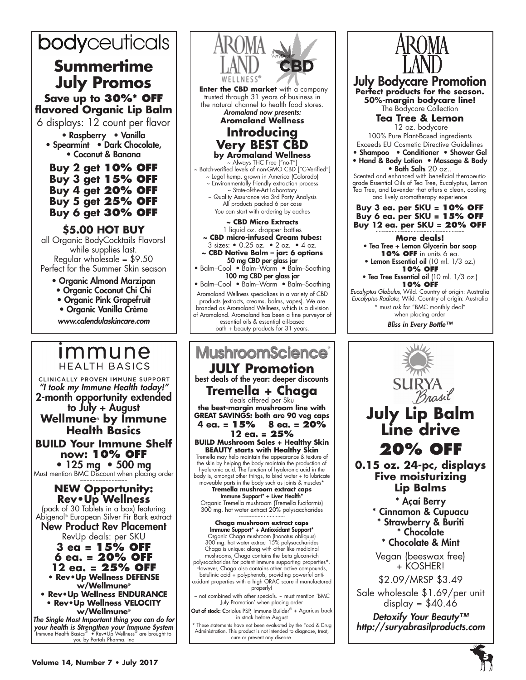# bodyceuticals

# **Summertime July Promos Save up to 30%\* off flavored Organic Lip Balm**

6 displays: 12 count per flavor

• Raspberry • Vanilla • Spearmint • Dark Chocolate, • Coconut & Banana

**Buy 2 get 10% off Buy 3 get 15% off Buy 4 get 20% off Buy 5 get 25% off Buy 6 get 30% off**

# **\$5.00 HOT BUY**

all Organic BodyCocktails Flavors! while supplies last. Regular wholesale = \$9.50 Perfect for the Summer Skin season

- Organic Almond Marzipan
- Organic Coconut Chi Chi
- Organic Pink Grapefruit
- Organic Vanilla Crème

www.calendulaskincare.com

# *Immune* **HEALTH BASICS**

CLINICALLY PROVEN IMMUNE SUPPORT "I took my Immune Health today!" 2-month opportunity extended to July + August **Wellmune® by Immune Health Basics BUILD Your Immune Shelf now: 10% OFF** • 125 mg • 500 mg Must mention BMC Discount when placing order ~~~~~~~~~~~~~~~ **NEW Opportunity: Rev•Up Wellness** (pack of 30 Tablets in a box) featuring Abigenol® European Silver Fir Bark extract New Product Rev Placement RevUp deals: per SKU **3 ea = 15% off**

**6 ea. = 20% off 12 ea. = 25% off • Rev•Up Wellness DEFENSE w/Wellmune® • Rev•Up Wellness ENDURANCE** 

**• Rev•Up Wellness VELOCITY w/Wellmune®**

The Single Most Important thing you can do for *your health is Strengthen your Immune System* Immune Health Basics® • Rev•Up Wellness® are brought to you by Portals Pharma, Inc.



• Balm–Cool • Balm–Warm • Balm–Soothing Aromaland Wellness specializes in a variety of CBD products (extracts, creams, balms, vapes). We are branded as Aromaland Wellness, which is a division of Aromaland. Aromaland has been a fine purveyor of essential oils & essential oil-based bath + beauty products for 31 years.

# **MushroomScience JULY Promotion**  best deals of the year: deeper discounts **Tremella + Chaga**<br>deals offered per Sku

**the best-margin mushroom line with GREAT SAVINGS: both are 90 veg caps 4 ea. = 15% 8 ea. = 20%** 

**12 ea. = 25% BUILD Mushroom Sales + Healthy Skin BEAUTY starts with Healthy Skin**

Tremella may help maintain the appearance & texture of the skin by helping the body maintain the production of hyaluronic acid. The function of hyaluronic acid in the body is, amongst other things, to bind water + to lubricate moveable parts in the body such as joints & muscles\*

**Tremella mushroom extract caps** Immune Support\* + Liver Health\* Organic Tremella mushroom (Tremella fuciformis) 300 mg. hot water extract 20% polysaccharides

**Chaga mushroom extract caps** Immune Support\* + Antioxidant Support\* Organic Chaga mushroom (Inonotus obliquus) 300 mg. hot water extract 15% polysaccharides Chaga is unique: along with other like medicinal mushrooms, Chaga contains the beta glucan-rich polysaccharides for potent immune supporting properties\*. However, Chaga also contains other active compounds, betulinic acid + polyphenols, providing powerful anti-oxidant properties with a high ORAC score if manufactured properly! ~ not combined with other specials. ~ must mention 'BMC

July Promotion' when placing order

Out of stock: Coriolus PSP, Immune Builder® + Agaricus back in stock before August

These statements have not been evaluated by the Food & Drug Administration. This product is not intended to diagnose, treat, cure or prevent any disease.



**0.15 oz. 24-pc, displays Five moisturizing Lip Balms**

> \* Açaí Berry \* Cinnamon & Cupuacu \* Strawberry & Buriti \* Chocolate \* Chocolate & Mint

Vegan (beeswax free) + KOSHER!

\$2.09/MRSP \$3.49

Sale wholesale \$1.69/per unit display =  $$40.46$ 

Detoxify Your Beauty<sup>™</sup> *http://suryabrasilproducts.com*

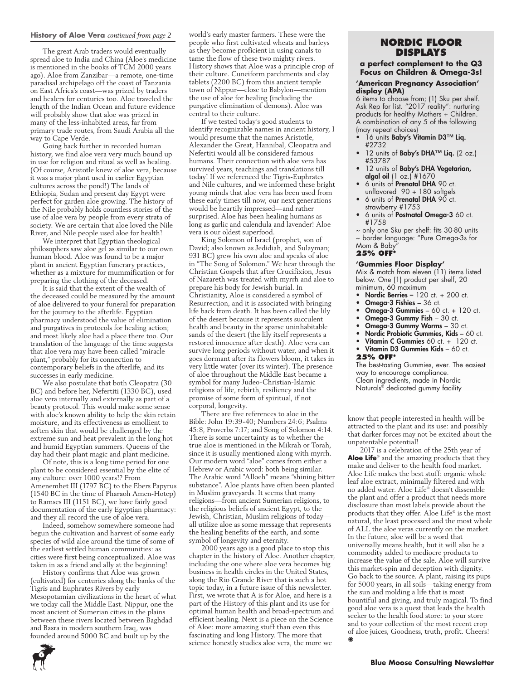#### **History of Aloe Vera** *continued from page 2*

The great Arab traders would eventually spread aloe to India and China (Aloe's medicine is mentioned in the books of TCM 2000 years ago). Aloe from Zanzibar—a remote, one-time paradisal archipelago off the coast of Tanzania on East Africa's coast—was prized by traders and healers for centuries too. Aloe traveled the length of the Indian Ocean and future evidence will probably show that aloe was prized in many of the less-inhabited areas, far from primary trade routes, from Saudi Arabia all the way to Cape Verde.

Going back further in recorded human history, we find aloe vera very much bound up in use for religion and ritual as well as healing. (Of course, Aristotle knew of aloe vera, because it was a major plant used in earlier Egyptian cultures across the pond!) The lands of Ethiopia, Sudan and present day Egypt were perfect for garden aloe growing. The history of the Nile probably holds countless stories of the use of aloe vera by people from every strata of society. We are certain that aloe loved the Nile River, and Nile people used aloe for health!

We interpret that Egyptian theological philosophers saw aloe gel as similar to our own human blood. Aloe was found to be a major plant in ancient Egyptian funerary practices, whether as a mixture for mummification or for preparing the clothing of the deceased.

It is said that the extent of the wealth of the deceased could be measured by the amount of aloe delivered to your funeral for preparation for the journey to the afterlife. Egyptian pharmacy understood the value of elimination and purgatives in protocols for healing action; and most likely aloe had a place there too. Our translation of the language of the time suggests that aloe vera may have been called "miracle plant," probably for its connection to contemporary beliefs in the afterlife, and its successes in early medicine.

We also postulate that both Cleopatra (30 BC) and before her, Nefertiti (1330 BC), used aloe vera internally and externally as part of a beauty protocol. This would make some sense with aloe's known ability to help the skin retain moisture, and its effectiveness as emollient to soften skin that would be challenged by the extreme sun and heat prevalent in the long hot and humid Egyptian summers. Queens of the day had their plant magic and plant medicine.

Of note, this is a long time period for one plant to be considered essential by the elite of any culture: over 1000 years!? From Amenemhet III (1797 BC) to the Ebers Papyrus (1540 BC in the time of Pharaoh Amen-Hotep) to Ramses III (1151 BC), we have fairly good documentation of the early Egyptian pharmacy: and they all record the use of aloe vera.

Indeed, somehow somewhere someone had begun the cultivation and harvest of some early species of wild aloe around the time of some of the earliest settled human communities: as cities were first being conceptualized. Aloe was taken in as a friend and ally at the beginning!

History confirms that Aloe was grown (cultivated) for centuries along the banks of the Tigris and Euphrates Rivers by early Mesopotamian civilizations in the heart of what we today call the Middle East. Nippur, one the most ancient of Sumerian cities in the plains between these rivers located between Baghdad and Basra in modern southern Iraq, was founded around 5000 BC and built up by the

world's early master farmers. These were the people who first cultivated wheats and barleys as they become proficient in using canals to tame the flow of these two mighty rivers. History shows that Aloe was a principle crop of their culture. Cuneiform parchments and clay tablets (2200 BC) from this ancient temple town of Nippur—close to Babylon—mention the use of aloe for healing (including the purgative elimination of demons). Aloe was central to their culture.

If we tested today's good students to identify recognizable names in ancient history, I would presume that the names Aristotle, Alexander the Great, Hannibal, Cleopatra and Nefertiti would all be considered famous humans. Their connection with aloe vera has survived years, teachings and translations till today! If we referenced the Tigris-Euphrates and Nile cultures, and we informed these bright young minds that aloe vera has been used from these early times till now, our next generations would be heartily impressed—and rather surprised. Aloe has been healing humans as long as garlic and calendula and lavender! Aloe vera is our oldest superfood.

King Solomon of Israel (prophet, son of David; also known as Jedidiah, and Sulayman; 931 BC) grew his own aloe and speaks of aloe in "The Song of Solomon." We hear through the Christian Gospels that after Crucifixion, Jesus of Nazareth was treated with myrrh and aloe to prepare his body for Jewish burial. In Christianity, Aloe is considered a symbol of Resurrection, and it is associated with bringing life back from death. It has been called the lily of the desert because it represents succulent health and beauty in the sparse uninhabitable sands of the desert (the lily itself represents a restored innocence after death). Aloe vera can survive long periods without water, and when it goes dormant after its flowers bloom, it takes in very little water (over its winter). The presence of aloe throughout the Middle East became a symbol for many Judeo-Christian-Islamic religions of life, rebirth, resiliency and the promise of some form of spiritual, if not corporal, longevity.

There are five references to aloe in the Bible: John 19:39-40; Numbers 24:6; Psalms 45:8, Proverbs 7:17; and Song of Solomon 4:14. There is some uncertainty as to whether the true aloe is mentioned in the Mikrah or Torah, since it is usually mentioned along with myrrh. Our modern word "aloe" comes from either a Hebrew or Arabic word: both being similar. The Arabic word "Alloeh" means "shining bitter substance". Aloe plants have often been planted in Muslim graveyards. It seems that many religions—from ancient Sumerian religions, to the religious beliefs of ancient Egypt, to the Jewish, Christian, Muslim religions of today all utilize aloe as some message that represents the healing benefits of the earth, and some symbol of longevity and eternity.

2000 years ago is a good place to stop this chapter in the history of Aloe. Another chapter, including the one where aloe vera becomes big business in health circles in the United States, along the Rio Grande River that is such a hot topic today, in a future issue of this newsletter. First, we wrote that A is for Aloe, and here is a part of the History of this plant and its use for optimal human health and broad-spectrum and efficient healing. Next is a piece on the Science of Aloe: more amazing stuff than even this fascinating and long History. The more that science honestly studies aloe vera, the more we

# **NORDIC Floor Displays**

# **a perfect complement to the Q3 Focus on Children & Omega-3s!**

## **'American Pregnancy Association' display (APA)**

6 items to choose from; (1) Sku per shelf. Ask Rep for list. "2017 reality": nurturing products for healthy Mothers + Children. A combination of any 5 of the following (may repeat choices)

- 16 units Baby's Vitamin D3™ Liq. #2732
- 12 units of Baby's DHA™ Liq. (2 oz.) #53787
- 12 units of Baby's DHA Vegetarian, **algal oil**  $(1 \text{ oz.})$  #1670
- 6 units of **Prenatal DHA** 90 ct. unflavored 90 + 180 softgels
- 6 units of Prenatal DHA 90 ct. strawberry #1753
- 6 units of **Postnatal Omega-3** 60 ct. #1758

~ only one Sku per shelf: fits 30-80 units ~ border language: "Pure Omega-3s for Mom & Baby"

# **25% OFF\***

#### **'Gummies Floor Display'**

Mix & match from eleven (11) items listed below. One (1) product per shelf, 20 minimum, 60 maximum

- Nordic Berries 120 ct. + 200 ct.
- Omega-3 Fishies 36 ct.
- Omega-3 Gummies 60 ct. +  $120$  ct.
	- Omega-3 Gummy Fish 30 ct.
	- Omega-3 Gummy Worms 30 ct.
	- Nordic Probiotic Gummies, Kids 60 ct.
	- Vitamin C Gummies 60 ct. + 120 ct.
	- Vitamin D3 Gummies Kids 60 ct.
- **25% OFF\***

The best-tasting Gummies, ever. The easiest way to encourage compliance. Clean ingredients, made in Nordic Naturals® dedicated gummy facility

know that people interested in health will be attracted to the plant and its use: and possibly that darker forces may not be excited about the unpatentable potential!

2017 is a celebration of the 25th year of **Aloe Life**® and the amazing products that they make and deliver to the health food market. Aloe Life makes the best stuff: organic whole leaf aloe extract, minimally filtered and with no added water. Aloe Life® doesn't dissemble the plant and offer a product that needs more disclosure than most labels provide about the products that they offer. Aloe Life® is the most natural, the least processed and the most whole of ALL the aloe veras currently on the market. In the future, aloe will be a word that universally means health, but it will also be a commodity added to mediocre products to increase the value of the sale. Aloe will survive this market-spin and deception with dignity. Go back to the source. A plant, raising its pups for 5000 years, in all soils—taking energy from the sun and molding a life that is most bountiful and giving, and truly magical. To find good aloe vera is a quest that leads the health seeker to the health food store: to your store and to your collection of the most recent crop of aloe juices, Goodness, truth, profit. Cheers! .

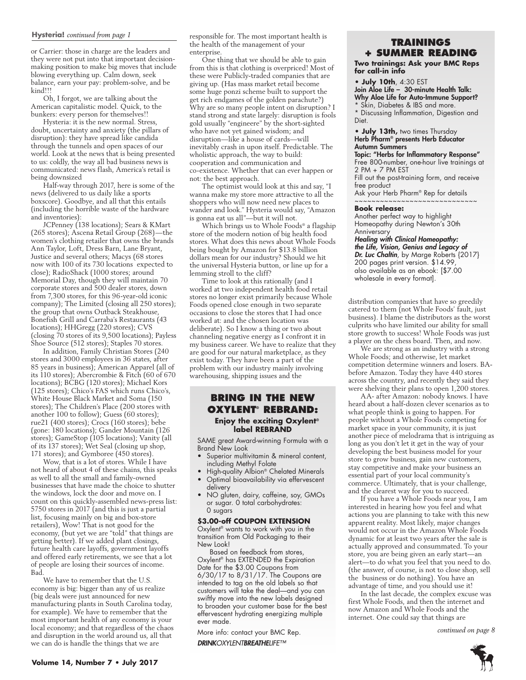#### **Hysteria!** *continued from page 1*

or Carrier: those in charge are the leaders and they were not put into that important decisionmaking position to make big moves that include blowing everything up. Calm down, seek balance, earn your pay: problem-solve, and be kind!!!

Oh, I forgot, we are talking about the American capitalistic model. Quick, to the bunkers: every person for themselves!!

Hysteria: it is the new normal. Stress, doubt, uncertainty and anxiety (the pillars of disruption): they have spread like candida through the tunnels and open spaces of our world. Look at the news that is being presented to us: coldly, the way all bad business news is communicated: news flash, America's retail is being downsized

Half-way through 2017, here is some of the news (delivered to us daily like a sports boxscore). Goodbye, and all that this entails (including the horrible waste of the hardware and inventories):

JCPenney (138 locations); Sears & KMart (265 stores); Ascena Retail Group (268)—the women's clothing retailer that owns the brands Ann Taylor, Loft, Dress Barn, Lane Bryant, Justice and several others; Macys (68 stores now with 100 of its 730 locations expected to close); RadioShack (1000 stores; around Memorial Day, though they will maintain 70 corporate stores and 500 dealer stores, down from 7,300 stores, for this 96-year-old iconic company); The Limited (closing all 250 stores); the group that owns Outback Steakhouse, Bonefish Grill and Carraba's Restaurants (43 locations); HHGregg (220 stores); CVS (closing 70 stores of its 9,500 locations); Payless Shoe Source (512 stores); Staples 70 stores.

In addition, Family Christian Stores (240 stores and 3000 employees in 36 states, after 85 years in business); American Apparel (all of its 110 stores); Abercrombie & Fitch (60 of 670 locations); BCBG (120 stores); Michael Kors (125 stores); Chico's FAS which runs Chico's, White House Black Market and Soma (150 stores); The Children's Place (200 stores with another 100 to follow); Guess (60 stores); rue21 (400 stores); Crocs (160 stores); bebe (gone: 180 locations); Gander Mountain (126 stores); GameStop (105 locations); Vanity (all of its 137 stores); Wet Seal (closing up shop, 171 stores); and Gymboree (450 stores).

Wow, that is a lot of stores. While I have not heard of about 4 of these chains, this speaks as well to all the small and family-owned businesses that have made the choice to shutter the windows, lock the door and move on. I count on this quickly-assembled news-press list: 5750 stores in 2017 (and this is just a partial list, focusing mainly on big and box-store retailers), Wow! That is not good for the economy, (but yet we are "told" that things are getting better). If we added plant closings, future health care layoffs, government layoffs and offered early retirements, we see that a lot of people are losing their sources of income. Bad.

We have to remember that the U.S. economy is big: bigger than any of us realize (big deals were just announced for new manufacturing plants in South Carolina today, for example). We have to remember that the most important health of any economy is your local economy; and that regardless of the chaos and disruption in the world around us, all that we can do is handle the things that we are

responsible for. The most important health is the health of the management of your enterprise.

One thing that we should be able to gain from this is that clothing is overpriced! Most of these were Publicly-traded companies that are giving up. (Has mass market retail become some huge ponzi scheme built to support the get rich endgames of the golden parachute?) Why are so many people intent on disruption? I stand strong and state largely: disruption is fools gold usually "engineere" by the short-sighted who have not yet gained wisdom; and disruption—like a house of cards—will inevitably crash in upon itself. Predictable. The wholistic approach, the way to build: cooperation and communication and co-existence. Whether that can ever happen or not: the best approach.

The optimist would look at this and say, "I wanna make my store more attractive to all the shoppers who will now need new places to wander and look." Hysteria would say, "Amazon is gonna eat us all"—but it will not.

Which brings us to Whole Foods® a flagship store of the modern notion of big health food stores. What does this news about Whole Foods being bought by Amazon for \$13.8 billion dollars mean for our industry? Should we hit the universal Hysteria button, or line up for a lemming stroll to the cliff?

Time to look at this rationally (and I worked at two independent health food retail stores no longer exist primarily because Whole Foods opened close enough in two separate occasions to close the stores that I had once worked at: and the chosen location was deliberate). So I know a thing or two about channeling negative energy as I confront it in my business career. We have to realize that they are good for our natural marketplace, as they exist today. They have been a part of the problem with our industry mainly involving warehousing, shipping issues and the

# **Bring in The New Oxylent® Rebrand: Enjoy the exciting Oxylent® label REBRAND**

SAME great Award-winning Formula with a Brand New Look

- Superior multivitamin & mineral content, including Methyl Folate
- High-quality Albion® Chelated Minerals
- Optimal bioavailability via effervescent delivery
- NO gluten, dairy, caffeine, soy, GMOs or sugar. 0 total carbohydrates: 0 sugars

#### **\$3.00-off COUPON EXTENSION**

Oxylent<sup>®</sup> wants to work with you in the transition from Old Packaging to their New Look!

Based on feedback from stores, Oxylent<sup>®</sup> has EXTENDED the Expiration Date for the \$3.00 Coupons from 6/30/17 to 8/31/17. The Coupons are intended to tag on the old labels so that customers will take the deal—and you can swiftly move into the new labels designed to broaden your customer base for the best effervescent hydrating energizing multiple ever made.

More info: contact your BMC Rep.

*DRINKOXYLENTBREATHELIFE™*

# **TRAININGS + SUMMER READING**

**Two trainings: Ask your BMC Reps for call-in info**

#### • **July 10th**, 4:30 E

Join Aloe Life – 30-minute Health Talk: Why Aloe Life for Auto-Immune Support? Skin, Diabetes & IBS and more.

\* Discussing Inflammation, Digestion and Diet.

#### **• July 13th,** two times Thursday Herb Pharm® presents Herb Educator Autumn Summers

Topic: "Herbs for Inflammatory Response" Free 800-number, one-hour live trainings at 2 PM + 7 PM EST

Fill out the post-training form, and receive free product

Ask your Herb Pharm® Rep for details ~~~~~~~~~~~~~~~~~~~~~~~~~~~~

#### **Book release:**

Another perfect way to highlight Homeopathy during Newton's 30th Anniversary

*Healing with Clinical Homeopathy:*  the Life, Vision, Genius and Legacy of *Dr. Luc Chaltin*, by Marge Roberts {2017} 200 pages print version. \$14.99, also available as an ebook: [\$7.00 wholesale in every format].

distribution companies that have so greedily catered to them (not Whole Foods' fault, just business). I blame the distributors as the worst culprits who have limited our ability for small store growth to success! Whole Foods was just a player on the chess board. Then, and now.

We are strong as an industry with a strong Whole Foods; and otherwise, let market competition determine winners and losers. BAbefore Amazon. Today they have 440 stores across the country, and recently they said they were shelving their plans to open 1,200 stores.

AA- after Amazon: nobody knows. I have heard about a half-dozen clever scenarios as to what people think is going to happen. For people without a Whole Foods competing for market space in your community, it is just another piece of melodrama that is intriguing as long as you don't let it get in the way of your developing the best business model for your store to grow business, gain new customers, stay competitive and make your business an essential part of your local community's commerce. Ultimately, that is your challenge, and the clearest way for you to succeed.

If you have a Whole Foods near you, I am interested in hearing how you feel and what actions you are planning to take with this new apparent reality. Most likely, major changes would not occur in the Amazon Whole Foods dynamic for at least two years after the sale is actually approved and consummated. To your store, you are being given an early start—an alert—to do what you feel that you need to do. (the answer, of course, is not to close shop, sell the business or do nothing). You have an advantage of time, and you should use it!

In the last decade, the complex excuse was first Whole Foods, and then the internet and now Amazon and Whole Foods and the internet. One could say that things are

*continued on page 8*